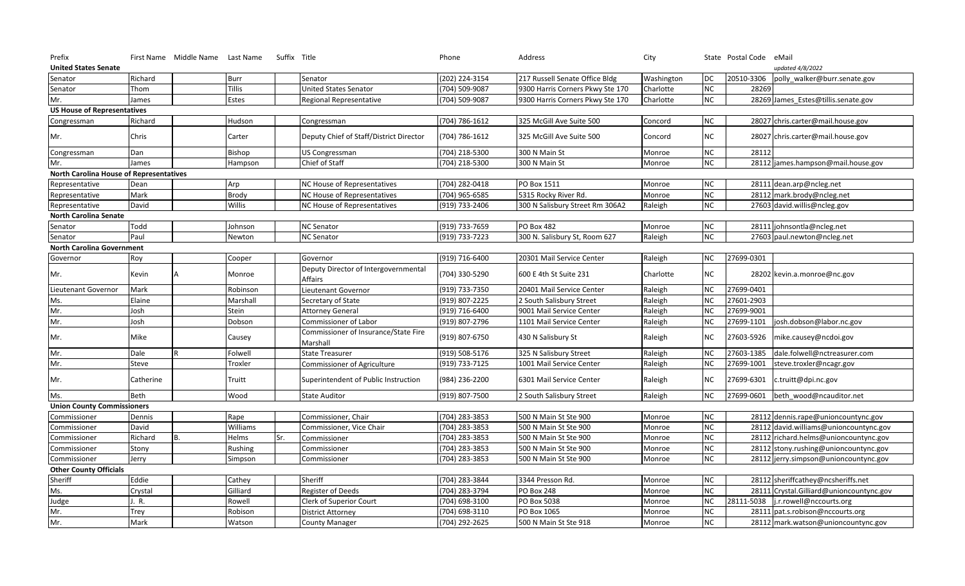| Prefix                                         | First Name Middle Name Last Name | Suffix Title |                                                  | Phone          | Address                          | City       |            | State Postal Code | eMail                                  |
|------------------------------------------------|----------------------------------|--------------|--------------------------------------------------|----------------|----------------------------------|------------|------------|-------------------|----------------------------------------|
| <b>United States Senate</b>                    |                                  |              |                                                  |                |                                  |            |            |                   | updated 4/8/2022                       |
| Senator                                        | Richard                          | Burr         | Senator                                          | (202) 224-3154 | 217 Russell Senate Office Bldg   | Washington | <b>DC</b>  | 20510-3306        | polly_walker@burr.senate.gov           |
| Senator                                        | Thom                             | Tillis       | <b>United States Senator</b>                     | (704) 509-9087 | 9300 Harris Corners Pkwy Ste 170 | Charlotte  | ${\sf NC}$ | 28269             |                                        |
| Mr.                                            | James                            | Estes        | Regional Representative                          | (704) 509-9087 | 9300 Harris Corners Pkwy Ste 170 | Charlotte  | NC         |                   | 28269 James_Estes@tillis.senate.gov    |
| <b>US House of Representatives</b>             |                                  |              |                                                  |                |                                  |            |            |                   |                                        |
| Congressman                                    | Richard                          | Hudson       | Congressman                                      | (704) 786-1612 | 325 McGill Ave Suite 500         | Concord    | NC         |                   | 28027 chris.carter@mail.house.gov      |
| Mr.                                            | Chris                            | Carter       | Deputy Chief of Staff/District Director          | (704) 786-1612 | 325 McGill Ave Suite 500         | Concord    | NC         |                   | 28027 chris.carter@mail.house.gov      |
| Congressman                                    | Dan                              | Bishop       | US Congressman                                   | (704) 218-5300 | 300 N Main St                    | Monroe     | $\sf NC$   | 28112             |                                        |
| Mr.                                            | James                            | Hampson      | Chief of Staff                                   | 704) 218-5300  | 300 N Main St                    | Monroe     | NC         |                   | 28112 james.hampson@mail.house.gov     |
| <b>North Carolina House of Representatives</b> |                                  |              |                                                  |                |                                  |            |            |                   |                                        |
| Representative                                 | Dean                             | Arp          | NC House of Representatives                      | (704) 282-0418 | PO Box 1511                      | Monroe     | NC         |                   | 28111 dean.arp@ncleg.net               |
| Representative                                 | Mark                             | <b>Brody</b> | NC House of Representatives                      | 704) 965-6585  | 5315 Rocky River Rd.             | Monroe     | <b>NC</b>  | 28112             | mark.brody@ncleg.net                   |
| Representative                                 | David                            | Willis       | NC House of Representatives                      | (919) 733-2406 | 300 N Salisbury Street Rm 306A2  | Raleigh    | $\sf NC$   |                   | 27603 david.willis@ncleg.gov           |
| <b>North Carolina Senate</b>                   |                                  |              |                                                  |                |                                  |            |            |                   |                                        |
| Senator                                        | Todd                             | Johnson      | <b>NC Senator</b>                                | (919) 733-7659 | <b>PO Box 482</b>                | Monroe     | NC         |                   | 28111 johnsontla@ncleg.net             |
| Senator                                        | Paul                             | Newton       | <b>NC Senator</b>                                | (919) 733-7223 | 300 N. Salisbury St, Room 627    | Raleigh    | NC         |                   | 27603 paul.newton@ncleg.net            |
| <b>North Carolina Government</b>               |                                  |              |                                                  |                |                                  |            |            |                   |                                        |
| Governor                                       | Roy                              | Cooper       | Governor                                         | (919) 716-6400 | 20301 Mail Service Center        | Raleigh    | <b>NC</b>  | 27699-0301        |                                        |
| Mr.                                            | Kevin<br>А                       | Monroe       | Deputy Director of Intergovernmental<br>Affairs  | (704) 330-5290 | 600 E 4th St Suite 231           | Charlotte  | <b>NC</b>  |                   | 28202 kevin.a.monroe@nc.gov            |
| Lieutenant Governor                            | Mark                             | Robinson     | Lieutenant Governor                              | (919) 733-7350 | 20401 Mail Service Center        | Raleigh    | <b>NC</b>  | 27699-0401        |                                        |
| Ms.                                            | Elaine                           | Marshall     | Secretary of State                               | 919) 807-2225  | 2 South Salisbury Street         | Raleigh    | NC         | 27601-2903        |                                        |
| Mr.                                            | Josh                             | Stein        | <b>Attorney General</b>                          | (919) 716-6400 | 9001 Mail Service Center         | Raleigh    | $NC$       | 27699-9001        |                                        |
| Mr.                                            | Josh                             | Dobson       | Commissioner of Labor                            | (919) 807-2796 | 1101 Mail Service Center         | Raleigh    | <b>NC</b>  | 27699-1101        | josh.dobson@labor.nc.gov               |
| Mr.                                            | Mike                             | Causey       | Commissioner of Insurance/State Fire<br>Marshall | (919) 807-6750 | 430 N Salisbury St               | Raleigh    | <b>NC</b>  | 27603-5926        | mike.causey@ncdoi.gov                  |
| Mr.                                            | Dale                             | Folwell      | <b>State Treasurer</b>                           | (919) 508-5176 | 325 N Salisbury Street           | Raleigh    | <b>NC</b>  | 27603-1385        | dale.folwell@nctreasurer.com           |
| Mr.                                            | Steve                            | Troxler      | <b>Commissioner of Agriculture</b>               | (919) 733-7125 | 1001 Mail Service Center         | Raleigh    | $NC$       | 27699-1001        | steve.troxler@ncagr.gov                |
| Mr.                                            | Catherine                        | Truitt       | Superintendent of Public Instruction             | (984) 236-2200 | 6301 Mail Service Center         | Raleigh    | <b>NC</b>  | 27699-6301        | c.truitt@dpi.nc.gov                    |
| Ms.                                            | Beth                             | Wood         | <b>State Auditor</b>                             | (919) 807-7500 | 2 South Salisbury Street         | Raleigh    | <b>NC</b>  | 27699-0601        | beth wood@ncauditor.net                |
| <b>Union County Commissioners</b>              |                                  |              |                                                  |                |                                  |            |            |                   |                                        |
| Commissioner                                   | Dennis                           | Rape         | Commissioner, Chair                              | (704) 283-3853 | 500 N Main St Ste 900            | Monroe     | NC         |                   | 28112 dennis.rape@unioncountync.gov    |
| Commissioner                                   | David                            | Williams     | Commissioner, Vice Chair                         | (704) 283-3853 | 500 N Main St Ste 900            | Monroe     | $\sf NC$   |                   | 28112 david.williams@unioncountync.gov |
| Commissioner                                   | Richard<br>B.                    | Helms<br>Sr. | Commissioner                                     | (704) 283-3853 | 500 N Main St Ste 900            | Monroe     | ${\sf NC}$ | 28112             | richard.helms@unioncountync.gov        |
| Commissioner                                   | Stony                            | Rushing      | Commissioner                                     | (704) 283-3853 | 500 N Main St Ste 900            | Monroe     | ${\sf NC}$ | 28112             | stony.rushing@unioncountync.gov        |
| Commissioner                                   | Jerry                            | Simpson      | Commissioner                                     | (704) 283-3853 | 500 N Main St Ste 900            | Monroe     | $NC$       |                   | 28112 jerry.simpson@unioncountync.gov  |
| <b>Other County Officials</b>                  |                                  |              |                                                  |                |                                  |            |            |                   |                                        |
| Sheriff                                        | Eddie                            | Cathey       | Sheriff                                          | (704) 283-3844 | 3344 Presson Rd.                 | Monroe     | NC         |                   | 28112 sheriffcathey@ncsheriffs.net     |
| Ms.                                            | Crystal                          | Gilliard     | <b>Register of Deeds</b>                         | (704) 283-3794 | <b>PO Box 248</b>                | Monroe     | ${\sf NC}$ | 28111             | Crystal.Gilliard@unioncountync.gov     |
| Judge                                          | J. R.                            | Rowell       | Clerk of Superior Court                          | (704) 698-3100 | PO Box 5038                      | Monroe     | $\sf NC$   | 28111-5038        | j.r.rowell@nccourts.org                |
|                                                | Trey                             | Robison      | <b>District Attorney</b>                         | (704) 698-3110 | PO Box 1065                      | Monroe     | NC         |                   | 28111 pat.s.robison@nccourts.org       |
| Mr.                                            |                                  |              |                                                  |                |                                  |            |            |                   |                                        |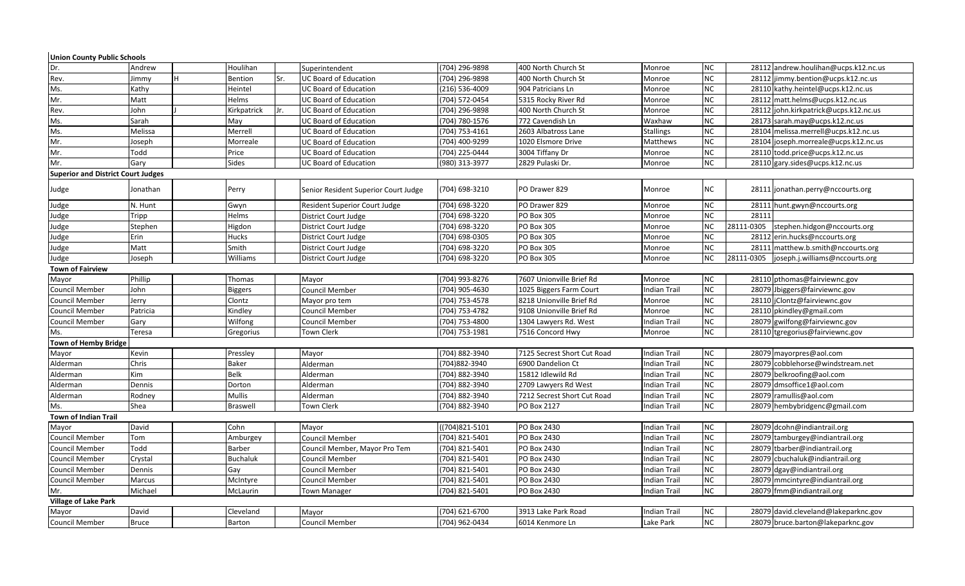| <b>Union County Public Schools</b>        |               |                 |     |                                      |                |                             |                     |           |            |                                       |
|-------------------------------------------|---------------|-----------------|-----|--------------------------------------|----------------|-----------------------------|---------------------|-----------|------------|---------------------------------------|
| Dr.                                       | Andrew        | Houlihan        |     | Superintendent                       | (704) 296-9898 | 400 North Church St         | Monroe              | NC        |            | 28112 andrew.houlihan@ucps.k12.nc.us  |
| Rev.                                      | Iн.<br>Jimmy  | Bention         | Sr. | <b>UC Board of Education</b>         | (704) 296-9898 | 400 North Church St         | Monroe              | NC        |            | 28112 jimmy.bention@ucps.k12.nc.us    |
| Ms.                                       | Kathy         | Heintel         |     | <b>UC Board of Education</b>         | (216) 536-4009 | 904 Patricians Ln           | Monroe              | <b>NC</b> |            | 28110 kathy.heintel@ucps.k12.nc.us    |
| Mr.                                       | Matt          | Helms           |     | <b>UC Board of Education</b>         | (704) 572-0454 | 5315 Rocky River Rd         | Monroe              | <b>NC</b> |            | 28112 matt.helms@ucps.k12.nc.us       |
| Rev.                                      | John          | Kirkpatrick     | Jr. | <b>UC Board of Education</b>         | (704) 296-9898 | 400 North Church St         | Monroe              | <b>NC</b> |            | 28112 john.kirkpatrick@ucps.k12.nc.us |
| Ms.                                       | Sarah         | May             |     | <b>UC Board of Education</b>         | (704) 780-1576 | 772 Cavendish Ln            | Waxhaw              | <b>NC</b> |            | 28173 sarah.may@ucps.k12.nc.us        |
| Ms.                                       | Melissa       | Merrell         |     | <b>UC Board of Education</b>         | (704) 753-4161 | 2603 Albatross Lane         | <b>Stallings</b>    | <b>NC</b> |            | 28104 melissa.merrell@ucps.k12.nc.us  |
| Mr.                                       | Joseph        | Morreale        |     | <b>UC Board of Education</b>         | (704) 400-9299 | 1020 Elsmore Drive          | Matthews            | <b>NC</b> |            | 28104 joseph.morreale@ucps.k12.nc.us  |
| Mr.                                       | Todd          | Price           |     | <b>UC Board of Education</b>         | (704) 225-0444 | 3004 Tiffany Dr             | Monroe              | NC        |            | 28110 todd.price@ucps.k12.nc.us       |
| Mr.                                       | Gary          | Sides           |     | <b>UC Board of Education</b>         | (980) 313-3977 | 2829 Pulaski Dr.            | Monroe              | <b>NC</b> |            | 28110 gary.sides@ucps.k12.nc.us       |
| <b>Superior and District Court Judges</b> |               |                 |     |                                      |                |                             |                     |           |            |                                       |
| Judge                                     | Jonathan      | Perry           |     | Senior Resident Superior Court Judge | (704) 698-3210 | PO Drawer 829               | Monroe              | NC        |            | 28111 jonathan.perry@nccourts.org     |
| Judge                                     | N. Hunt       | Gwyn            |     | <b>Resident Superior Court Judge</b> | (704) 698-3220 | PO Drawer 829               | Monroe              | NC        | 28111      | hunt.gwyn@nccourts.org                |
| Judge                                     | Tripp         | Helms           |     | District Court Judge                 | (704) 698-3220 | PO Box 305                  | Monroe              | NC        | 28111      |                                       |
| Judge                                     | Stephen       | Higdon          |     | District Court Judge                 | (704) 698-3220 | <b>PO Box 305</b>           | Monroe              | <b>NC</b> | 28111-0305 | stephen.hidgon@nccourts.org           |
| Judge                                     | Erin          | Hucks           |     | District Court Judge                 | (704) 698-0305 | <b>PO Box 305</b>           | Monroe              | <b>NC</b> |            | 28112 erin.hucks@nccourts.org         |
| Judge                                     | Matt          | Smith           |     | District Court Judge                 | (704) 698-3220 | PO Box 305                  | Monroe              | NC        |            | 28111 matthew.b.smith@nccourts.org    |
| Judge                                     | Joseph        | Williams        |     | District Court Judge                 | (704) 698-3220 | <b>PO Box 305</b>           | Monroe              | <b>NC</b> | 28111-0305 | joseph.j.williams@nccourts.org        |
| <b>Town of Fairview</b>                   |               |                 |     |                                      |                |                             |                     |           |            |                                       |
| Mayor                                     | Phillip       | Thomas          |     | Mayor                                | (704) 993-8276 | 7607 Unionville Brief Rd    | Monroe              | NC        |            | 28110 pthomas@fairviewnc.gov          |
| Council Member                            | John          | <b>Biggers</b>  |     | Council Member                       | (704) 905-4630 | 1025 Biggers Farm Court     | <b>Indian Trail</b> | <b>NC</b> |            | 28079 Jbiggers@fairviewnc.gov         |
| Council Member                            | Jerry         | Clontz          |     | Mayor pro tem                        | (704) 753-4578 | 8218 Unionville Brief Rd    | Monroe              | <b>NC</b> |            | 28110   jClontz@fairviewnc.gov        |
| Council Member                            | Patricia      | Kindley         |     | Council Member                       | (704) 753-4782 | 9108 Unionville Brief Rd    | Monroe              | <b>NC</b> |            | 28110 pkindley@gmail.com              |
| Council Member                            | Gary          | Wilfong         |     | <b>Council Member</b>                | (704) 753-4800 | 1304 Lawyers Rd. West       | Indian Trail        | <b>NC</b> |            | 28079 gwilfong@fairviewnc.gov         |
| Ms.                                       | Teresa        | Gregorius       |     | <b>Town Clerk</b>                    | (704) 753-1981 | 7516 Concord Hwy            | Monroe              | NC        |            | 28110 tgregorius@fairviewnc.gov       |
| Town of Hemby Bridge                      |               |                 |     |                                      |                |                             |                     |           |            |                                       |
| Mayor                                     | Kevin         | Pressley        |     | Mayor                                | (704) 882-3940 | 7125 Secrest Short Cut Road | Indian Trail        | NC        |            | 28079 mayorpres@aol.com               |
| Alderman                                  | Chris         | <b>Baker</b>    |     | Alderman                             | (704) 882-3940 | 6900 Dandelion Ct           | Indian Trail        | <b>NC</b> |            | 28079 cobblehorse@windstream.net      |
| Alderman                                  | <b>Kim</b>    | <b>Belk</b>     |     | Alderman                             | (704) 882-3940 | 15812 Idlewild Rd           | Indian Trail        | <b>NC</b> |            | 28079 belkroofing@aol.com             |
| Alderman                                  | Dennis        | Dorton          |     | Alderman                             | (704) 882-3940 | 2709 Lawyers Rd West        | Indian Trail        | NC        |            | 28079 dmsoffice1@aol.com              |
| Alderman                                  | Rodney        | Mullis          |     | Alderman                             | (704) 882-3940 | 7212 Secrest Short Cut Road | Indian Trail        | <b>NC</b> |            | 28079 ramullis@aol.com                |
| Ms.                                       | Shea          | <b>Braswell</b> |     | <b>Town Clerk</b>                    | (704) 882-3940 | PO Box 2127                 | Indian Trail        | <b>NC</b> |            | 28079 hembybridgenc@gmail.com         |
| Town of Indian Trail                      |               |                 |     |                                      |                |                             |                     |           |            |                                       |
| Mayor                                     | David         | Cohn            |     | Mayor                                | (704)821-5101  | PO Box 2430                 | Indian Trail        | <b>NC</b> |            | 28079 dcohn@indiantrail.org           |
| Council Member                            | Tom           | Amburgey        |     | <b>Council Member</b>                | (704) 821-5401 | PO Box 2430                 | Indian Trail        | <b>NC</b> |            | 28079 tamburgey@indiantrail.org       |
| Council Member                            | Todd          | Barber          |     | Council Member, Mayor Pro Tem        | (704) 821-5401 | PO Box 2430                 | Indian Trail        | <b>NC</b> |            | 28079 tbarber@indiantrail.org         |
| Council Member                            | Crystal       | Buchaluk        |     | Council Member                       | (704) 821-5401 | PO Box 2430                 | Indian Trail        | <b>NC</b> |            | 28079 cbuchaluk@indiantrail.org       |
| <b>Council Member</b>                     | Dennis        | Gay             |     | Council Member                       | (704) 821-5401 | PO Box 2430                 | Indian Trail        | <b>NC</b> |            | 28079 dgay@indiantrail.org            |
| Council Member                            | <b>Marcus</b> | McIntyre        |     | <b>Council Member</b>                | (704) 821-5401 | PO Box 2430                 | Indian Trail        | <b>NC</b> |            | 28079 mmcintyre@indiantrail.org       |
| Mr.                                       | Michael       | McLaurin        |     | Town Manager                         | (704) 821-5401 | PO Box 2430                 | Indian Trail        | <b>NC</b> |            | 28079 fmm@indiantrail.org             |
| <b>Village of Lake Park</b>               |               |                 |     |                                      |                |                             |                     |           |            |                                       |
| Mayor                                     | David         | Cleveland       |     | Mayor                                | (704) 621-6700 | 3913 Lake Park Road         | Indian Trail        | <b>NC</b> |            | 28079 david.cleveland@lakeparknc.gov  |
| <b>Council Member</b>                     | <b>Bruce</b>  | Barton          |     | <b>Council Member</b>                | (704) 962-0434 | 6014 Kenmore Ln             | Lake Park           | NC        |            | 28079 bruce.barton@lakeparknc.gov     |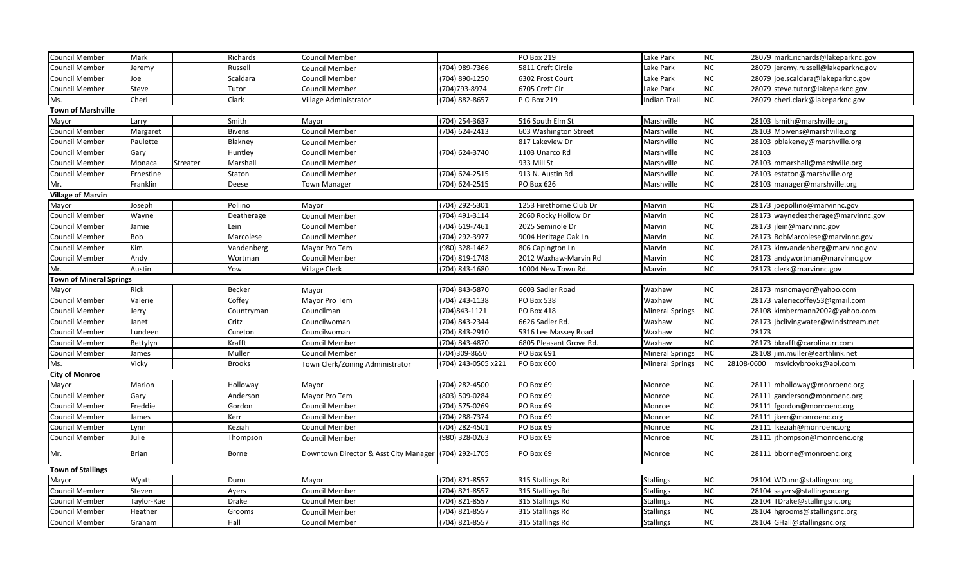| Council Member                 | Mark               | Richards      | <b>Council Member</b>                                |                    | PO Box 219              | Lake Park              | ${\sf NC}$      |            | 28079 mark.richards@lakeparknc.gov |
|--------------------------------|--------------------|---------------|------------------------------------------------------|--------------------|-------------------------|------------------------|-----------------|------------|------------------------------------|
| Council Member                 | Jeremy             | Russell       | Council Member                                       | (704) 989-7366     | 5811 Creft Circle       | Lake Park              | $NC$            | 28079      | jeremy.russell@lakeparknc.gov      |
| Council Member                 | Joe                | Scaldara      | Council Member                                       | (704) 890-1250     | 6302 Frost Court        | Lake Park              | <b>NC</b>       | 28079      | joe.scaldara@lakeparknc.gov        |
| Council Member                 | Steve              | Tutor         | Council Member                                       | 704) 793-8974      | 6705 Creft Cir          | Lake Park              | ${\sf NC}$      |            | 28079 steve.tutor@lakeparknc.gov   |
| Ms.                            | Cheri              | Clark         | Village Administrator                                | (704) 882-8657     | P O Box 219             | Indian Trail           | ${\sf NC}$      |            | 28079 cheri.clark@lakeparknc.gov   |
| <b>Town of Marshville</b>      |                    |               |                                                      |                    |                         |                        |                 |            |                                    |
| Mayor                          | Larry              | Smith         | Mayor                                                | (704) 254-3637     | 516 South Elm St        | Marshville             | ${\sf NC}$      |            | 28103 Ismith@marshville.org        |
| Council Member                 | Margaret           | <b>Bivens</b> | Council Member                                       | (704) 624-2413     | 603 Washington Street   | Marshville             | <b>NC</b>       | 28103      | Mbivens@marshville.org             |
| Council Member                 | Paulette           | Blakney       | Council Member                                       |                    | 817 Lakeview Dr         | Marshville             | ${\sf NC}$      | 2810       | pblakeney@marshville.org           |
| Council Member                 | Gary               | Huntley       | <b>Council Member</b>                                | (704) 624-3740     | 1103 Unarco Rd          | Marshville             | <b>NC</b>       | 28103      |                                    |
| Council Member                 | Monaca<br>Streater | Marshall      | <b>Council Member</b>                                |                    | 933 Mill St             | Marshville             | ${\sf NC}$      | 28103      | mmarshall@marshville.org           |
| Council Member                 | Ernestine          | Staton        | <b>Council Member</b>                                | (704) 624-2515     | 913 N. Austin Rd        | Marshville             | NC              | 28103      | estaton@marshville.org             |
| Mr.                            | Franklin           | Deese         | <b>Town Manager</b>                                  | (704) 624-2515     | PO Box 626              | Marshville             | ${\sf NC}$      |            | 28103 manager@marshville.org       |
| <b>Village of Marvin</b>       |                    |               |                                                      |                    |                         |                        |                 |            |                                    |
| Mayor                          | Joseph             | Pollino       | Mayor                                                | (704) 292-5301     | 1253 Firethorne Club Dr | Marvin                 | NC              |            | 28173 joepollino@marvinnc.gov      |
| Council Member                 | Wayne              | Deatherage    | Council Member                                       | (704) 491-3114     | 2060 Rocky Hollow Dr    | Marvin                 | <b>NC</b>       |            | 28173 waynedeatherage@marvinnc.gov |
| Council Member                 | Jamie              | Lein          | Council Member                                       | (704) 619-7461     | 2025 Seminole Dr        | Marvin                 | ${\sf NC}$      |            | 28173 jlein@marvinnc.gov           |
| Council Member                 | Bob                | Marcolese     | <b>Council Member</b>                                | (704) 292-3977     | 9004 Heritage Oak Ln    | Marvin                 | $NC$            | 28173      | BobMarcolese@marvinnc.gov          |
| Council Member                 | Kim                | Vandenberg    | Mayor Pro Tem                                        | (980) 328-1462     | 806 Capington Ln        | Marvin                 | ${\sf NC}$      | 28173      | kimvandenberg@marvinnc.gov         |
| Council Member                 | Andy               | Wortman       | <b>Council Member</b>                                | 704) 819-1748      | 2012 Waxhaw-Marvin Rd   | Marvin                 | ${\sf NC}$      | 28173      | andywortman@marvinnc.gov           |
| Mr.                            | Austin             | Yow           | <b>Village Clerk</b>                                 | (704) 843-1680     | 10004 New Town Rd.      | Marvin                 | NC              |            | 28173 clerk@marvinnc.gov           |
| <b>Town of Mineral Springs</b> |                    |               |                                                      |                    |                         |                        |                 |            |                                    |
| Mayor                          | Rick               | <b>Becker</b> | Mayor                                                | (704) 843-5870     | 6603 Sadler Road        | Waxhaw                 | NC              |            | 28173 msncmayor@yahoo.com          |
| Council Member                 | Valerie            | Coffey        | Mayor Pro Tem                                        | (704) 243-1138     | PO Box 538              | Waxhaw                 | NC              | 28173      | valeriecoffey53@gmail.com          |
| Council Member                 | Jerry              | Countryman    | Councilman                                           | (704) 843-1121     | PO Box 418              | <b>Mineral Springs</b> | ${\sf NC}$      |            | 28108 kimbermann2002@yahoo.com     |
| Council Member                 | Janet              | Critz         | Councilwoman                                         | (704) 843-2344     | 6626 Sadler Rd.         | Waxhaw                 | ${\sf NC}$      | 28173      | jbclivingwater@windstream.net      |
| Council Member                 | Lundeen            | Cureton       | Councilwoman                                         | (704) 843-2910     | 5316 Lee Massey Road    | Waxhaw                 | <b>NC</b>       | 28173      |                                    |
| Council Member                 | Bettylyn           | Krafft        | Council Member                                       | (704) 843-4870     | 6805 Pleasant Grove Rd. | Waxhaw                 | $NC$            |            | 28173 bkrafft@carolina.rr.com      |
| Council Member                 | James              | Muller        | <b>Council Member</b>                                | 704)309-8650       | PO Box 691              | <b>Mineral Springs</b> | NC              | 28108      | jim.muller@earthlink.net           |
| Ms.                            | Vicky              | <b>Brooks</b> | Town Clerk/Zoning Administrator                      | 704) 243-0505 x221 | PO Box 600              | <b>Mineral Springs</b> | $\sf NC$        | 28108-0600 | msvickybrooks@aol.com              |
| <b>City of Monroe</b>          |                    |               |                                                      |                    |                         |                        |                 |            |                                    |
| Mayor                          | Marion             | Holloway      | Mayor                                                | (704) 282-4500     | PO Box 69               | Monroe                 | $\sf NC$        |            | 28111 mholloway@monroenc.org       |
| Council Member                 | Gary               | Anderson      | Mayor Pro Tem                                        | (803) 509-0284     | PO Box 69               | Monroe                 | NC              | 28111      | ganderson@monroenc.org             |
| Council Member                 | Freddie            | Gordon        | <b>Council Member</b>                                | (704) 575-0269     | PO Box 69               | Monroe                 | $\sf NC$        | 28111      | fgordon@monroenc.org               |
| Council Member                 | James              | Kerr          | <b>Council Member</b>                                | (704) 288-7374     | PO Box 69               | Monroe                 | NC              | 28111      | kerr@monroenc.org                  |
| Council Member                 | Lynn               | Keziah        | Council Member                                       | (704) 282-4501     | PO Box 69               | Monroe                 | ${\sf NC}$      | 28111      | keziah@monroenc.org                |
| Council Member                 | Julie              | Thompson      | Council Member                                       | (980) 328-0263     | PO Box 69               | Monroe                 | ${\sf NC}$      | 28111      | jthompson@monroenc.org             |
| Mr.                            | <b>Brian</b>       | Borne         | Downtown Director & Asst City Manager (704) 292-1705 |                    | PO Box 69               | Monroe                 | <b>NC</b>       |            | 28111 bborne@monroenc.org          |
|                                |                    |               |                                                      |                    |                         |                        |                 |            |                                    |
| <b>Town of Stallings</b>       |                    |               |                                                      |                    |                         |                        |                 |            |                                    |
| Mayor                          | Wyatt              | Dunn          | Mayor                                                | (704) 821-8557     | 315 Stallings Rd        | <b>Stallings</b>       | ${\sf NC}$      |            | 28104 WDunn@stallingsnc.org        |
| Council Member                 | Steven             | Ayers         | <b>Council Member</b>                                | (704) 821-8557     | 315 Stallings Rd        | <b>Stallings</b>       | ${\sf NC}$      | 28104      | sayers@stallingsnc.org             |
| Council Member                 | Taylor-Rae         | Drake         | <b>Council Member</b>                                | (704) 821-8557     | 315 Stallings Rd        | <b>Stallings</b>       | $\overline{NC}$ | 28104      | TDrake@stallingsnc.org             |
| Council Member                 | Heather            | Grooms        | <b>Council Member</b>                                | (704) 821-8557     | 315 Stallings Rd        | <b>Stallings</b>       | ${\sf NC}$      | 28104      | hgrooms@stallingsnc.org            |
| Council Member                 | Graham             | Hall          | Council Member                                       | (704) 821-8557     | 315 Stallings Rd        | <b>Stallings</b>       | ${\sf NC}$      |            | 28104 GHall@stallingsnc.org        |